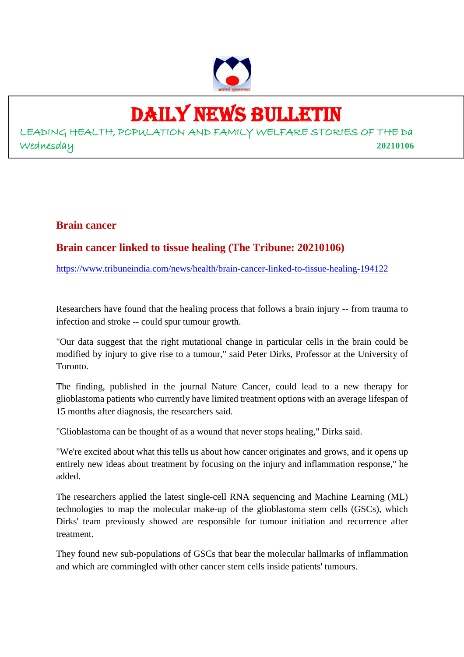

# DAILY NEWS BULLETIN

LEADING HEALTH, POPULATION AND FAMILY WELFARE STORIES OF THE Da Wednesday **20210106**

#### **Brain cancer**

#### **Brain cancer linked to tissue healing (The Tribune: 20210106)**

https://www.tribuneindia.com/news/health/brain-cancer-linked-to-tissue-healing-194122

Researchers have found that the healing process that follows a brain injury -- from trauma to infection and stroke -- could spur tumour growth.

"Our data suggest that the right mutational change in particular cells in the brain could be modified by injury to give rise to a tumour," said Peter Dirks, Professor at the University of Toronto.

The finding, published in the journal Nature Cancer, could lead to a new therapy for glioblastoma patients who currently have limited treatment options with an average lifespan of 15 months after diagnosis, the researchers said.

"Glioblastoma can be thought of as a wound that never stops healing," Dirks said.

"We're excited about what this tells us about how cancer originates and grows, and it opens up entirely new ideas about treatment by focusing on the injury and inflammation response," he added.

The researchers applied the latest single-cell RNA sequencing and Machine Learning (ML) technologies to map the molecular make-up of the glioblastoma stem cells (GSCs), which Dirks' team previously showed are responsible for tumour initiation and recurrence after treatment.

They found new sub-populations of GSCs that bear the molecular hallmarks of inflammation and which are commingled with other cancer stem cells inside patients' tumours.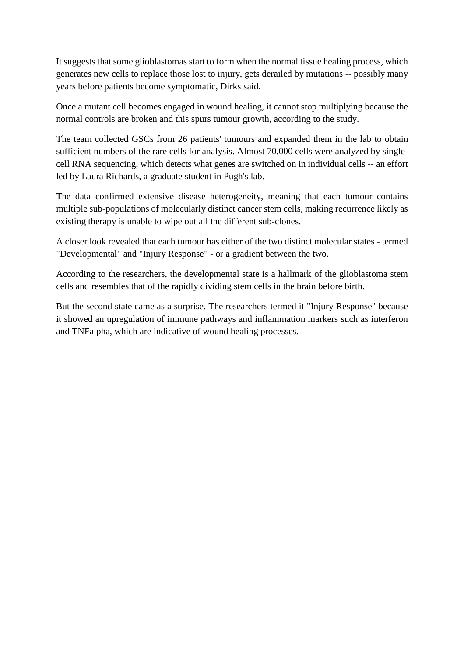It suggests that some glioblastomas start to form when the normal tissue healing process, which generates new cells to replace those lost to injury, gets derailed by mutations -- possibly many years before patients become symptomatic, Dirks said.

Once a mutant cell becomes engaged in wound healing, it cannot stop multiplying because the normal controls are broken and this spurs tumour growth, according to the study.

The team collected GSCs from 26 patients' tumours and expanded them in the lab to obtain sufficient numbers of the rare cells for analysis. Almost 70,000 cells were analyzed by singlecell RNA sequencing, which detects what genes are switched on in individual cells -- an effort led by Laura Richards, a graduate student in Pugh's lab.

The data confirmed extensive disease heterogeneity, meaning that each tumour contains multiple sub-populations of molecularly distinct cancer stem cells, making recurrence likely as existing therapy is unable to wipe out all the different sub-clones.

A closer look revealed that each tumour has either of the two distinct molecular states - termed "Developmental" and "Injury Response" - or a gradient between the two.

According to the researchers, the developmental state is a hallmark of the glioblastoma stem cells and resembles that of the rapidly dividing stem cells in the brain before birth.

But the second state came as a surprise. The researchers termed it "Injury Response" because it showed an upregulation of immune pathways and inflammation markers such as interferon and TNFalpha, which are indicative of wound healing processes.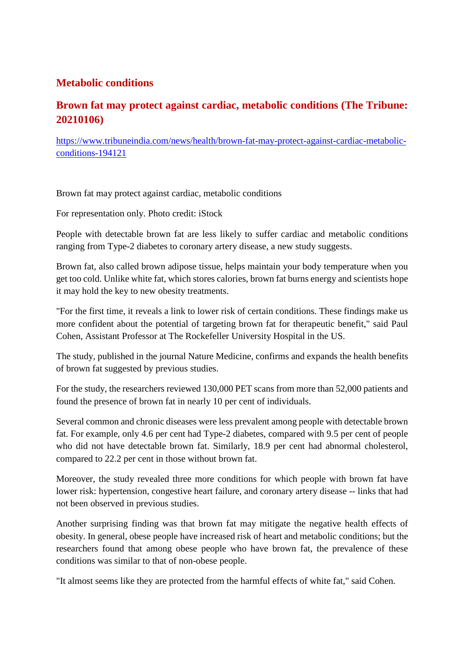# **Metabolic conditions**

# **Brown fat may protect against cardiac, metabolic conditions (The Tribune: 20210106)**

https://www.tribuneindia.com/news/health/brown-fat-may-protect-against-cardiac-metabolicconditions-194121

Brown fat may protect against cardiac, metabolic conditions

For representation only. Photo credit: iStock

People with detectable brown fat are less likely to suffer cardiac and metabolic conditions ranging from Type-2 diabetes to coronary artery disease, a new study suggests.

Brown fat, also called brown adipose tissue, helps maintain your body temperature when you get too cold. Unlike white fat, which stores calories, brown fat burns energy and scientists hope it may hold the key to new obesity treatments.

"For the first time, it reveals a link to lower risk of certain conditions. These findings make us more confident about the potential of targeting brown fat for therapeutic benefit," said Paul Cohen, Assistant Professor at The Rockefeller University Hospital in the US.

The study, published in the journal Nature Medicine, confirms and expands the health benefits of brown fat suggested by previous studies.

For the study, the researchers reviewed 130,000 PET scans from more than 52,000 patients and found the presence of brown fat in nearly 10 per cent of individuals.

Several common and chronic diseases were less prevalent among people with detectable brown fat. For example, only 4.6 per cent had Type-2 diabetes, compared with 9.5 per cent of people who did not have detectable brown fat. Similarly, 18.9 per cent had abnormal cholesterol, compared to 22.2 per cent in those without brown fat.

Moreover, the study revealed three more conditions for which people with brown fat have lower risk: hypertension, congestive heart failure, and coronary artery disease -- links that had not been observed in previous studies.

Another surprising finding was that brown fat may mitigate the negative health effects of obesity. In general, obese people have increased risk of heart and metabolic conditions; but the researchers found that among obese people who have brown fat, the prevalence of these conditions was similar to that of non-obese people.

"It almost seems like they are protected from the harmful effects of white fat," said Cohen.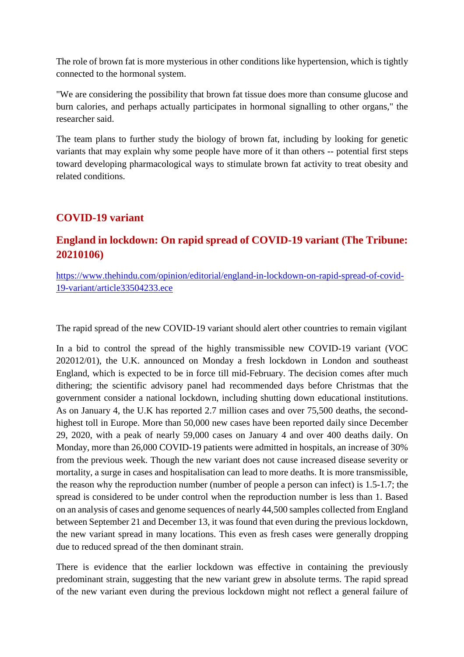The role of brown fat is more mysterious in other conditions like hypertension, which is tightly connected to the hormonal system.

"We are considering the possibility that brown fat tissue does more than consume glucose and burn calories, and perhaps actually participates in hormonal signalling to other organs," the researcher said.

The team plans to further study the biology of brown fat, including by looking for genetic variants that may explain why some people have more of it than others -- potential first steps toward developing pharmacological ways to stimulate brown fat activity to treat obesity and related conditions.

## **COVID-19 variant**

# **England in lockdown: On rapid spread of COVID-19 variant (The Tribune: 20210106)**

https://www.thehindu.com/opinion/editorial/england-in-lockdown-on-rapid-spread-of-covid-19-variant/article33504233.ece

The rapid spread of the new COVID-19 variant should alert other countries to remain vigilant

In a bid to control the spread of the highly transmissible new COVID-19 variant (VOC 202012/01), the U.K. announced on Monday a fresh lockdown in London and southeast England, which is expected to be in force till mid-February. The decision comes after much dithering; the scientific advisory panel had recommended days before Christmas that the government consider a national lockdown, including shutting down educational institutions. As on January 4, the U.K has reported 2.7 million cases and over 75,500 deaths, the secondhighest toll in Europe. More than 50,000 new cases have been reported daily since December 29, 2020, with a peak of nearly 59,000 cases on January 4 and over 400 deaths daily. On Monday, more than 26,000 COVID-19 patients were admitted in hospitals, an increase of 30% from the previous week. Though the new variant does not cause increased disease severity or mortality, a surge in cases and hospitalisation can lead to more deaths. It is more transmissible, the reason why the reproduction number (number of people a person can infect) is 1.5-1.7; the spread is considered to be under control when the reproduction number is less than 1. Based on an analysis of cases and genome sequences of nearly 44,500 samples collected from England between September 21 and December 13, it was found that even during the previous lockdown, the new variant spread in many locations. This even as fresh cases were generally dropping due to reduced spread of the then dominant strain.

There is evidence that the earlier lockdown was effective in containing the previously predominant strain, suggesting that the new variant grew in absolute terms. The rapid spread of the new variant even during the previous lockdown might not reflect a general failure of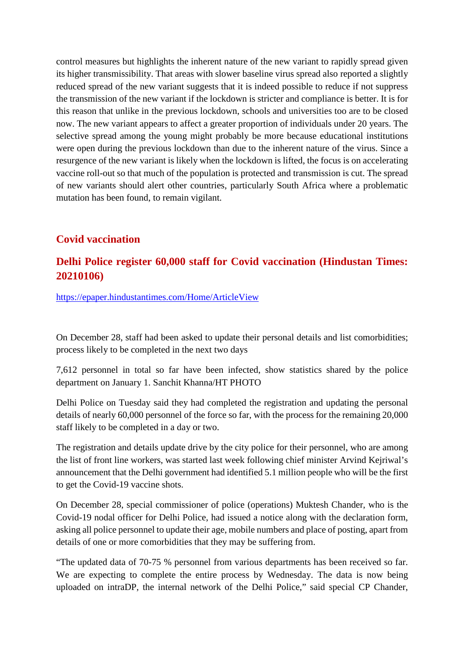control measures but highlights the inherent nature of the new variant to rapidly spread given its higher transmissibility. That areas with slower baseline virus spread also reported a slightly reduced spread of the new variant suggests that it is indeed possible to reduce if not suppress the transmission of the new variant if the lockdown is stricter and compliance is better. It is for this reason that unlike in the previous lockdown, schools and universities too are to be closed now. The new variant appears to affect a greater proportion of individuals under 20 years. The selective spread among the young might probably be more because educational institutions were open during the previous lockdown than due to the inherent nature of the virus. Since a resurgence of the new variant is likely when the lockdown is lifted, the focus is on accelerating vaccine roll-out so that much of the population is protected and transmission is cut. The spread of new variants should alert other countries, particularly South Africa where a problematic mutation has been found, to remain vigilant.

#### **Covid vaccination**

# **Delhi Police register 60,000 staff for Covid vaccination (Hindustan Times: 20210106)**

https://epaper.hindustantimes.com/Home/ArticleView

On December 28, staff had been asked to update their personal details and list comorbidities; process likely to be completed in the next two days

7,612 personnel in total so far have been infected, show statistics shared by the police department on January 1. Sanchit Khanna/HT PHOTO

Delhi Police on Tuesday said they had completed the registration and updating the personal details of nearly 60,000 personnel of the force so far, with the process for the remaining 20,000 staff likely to be completed in a day or two.

The registration and details update drive by the city police for their personnel, who are among the list of front line workers, was started last week following chief minister Arvind Kejriwal's announcement that the Delhi government had identified 5.1 million people who will be the first to get the Covid-19 vaccine shots.

On December 28, special commissioner of police (operations) Muktesh Chander, who is the Covid-19 nodal officer for Delhi Police, had issued a notice along with the declaration form, asking all police personnel to update their age, mobile numbers and place of posting, apart from details of one or more comorbidities that they may be suffering from.

"The updated data of 70-75 % personnel from various departments has been received so far. We are expecting to complete the entire process by Wednesday. The data is now being uploaded on intraDP, the internal network of the Delhi Police," said special CP Chander,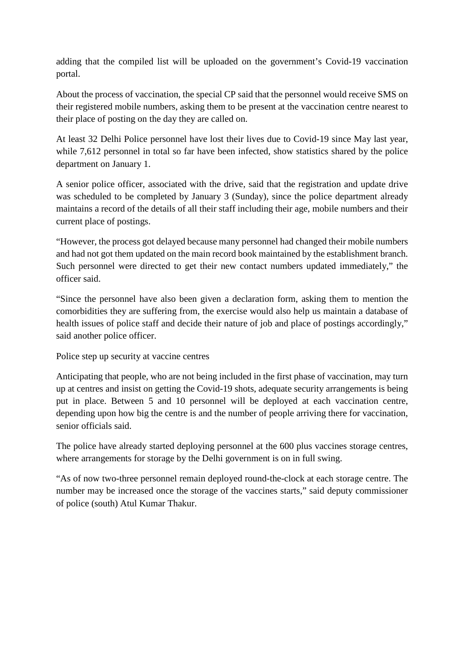adding that the compiled list will be uploaded on the government's Covid-19 vaccination portal.

About the process of vaccination, the special CP said that the personnel would receive SMS on their registered mobile numbers, asking them to be present at the vaccination centre nearest to their place of posting on the day they are called on.

At least 32 Delhi Police personnel have lost their lives due to Covid-19 since May last year, while 7,612 personnel in total so far have been infected, show statistics shared by the police department on January 1.

A senior police officer, associated with the drive, said that the registration and update drive was scheduled to be completed by January 3 (Sunday), since the police department already maintains a record of the details of all their staff including their age, mobile numbers and their current place of postings.

"However, the process got delayed because many personnel had changed their mobile numbers and had not got them updated on the main record book maintained by the establishment branch. Such personnel were directed to get their new contact numbers updated immediately," the officer said.

"Since the personnel have also been given a declaration form, asking them to mention the comorbidities they are suffering from, the exercise would also help us maintain a database of health issues of police staff and decide their nature of job and place of postings accordingly," said another police officer.

Police step up security at vaccine centres

Anticipating that people, who are not being included in the first phase of vaccination, may turn up at centres and insist on getting the Covid-19 shots, adequate security arrangements is being put in place. Between 5 and 10 personnel will be deployed at each vaccination centre, depending upon how big the centre is and the number of people arriving there for vaccination, senior officials said.

The police have already started deploying personnel at the 600 plus vaccines storage centres, where arrangements for storage by the Delhi government is on in full swing.

"As of now two-three personnel remain deployed round-the-clock at each storage centre. The number may be increased once the storage of the vaccines starts," said deputy commissioner of police (south) Atul Kumar Thakur.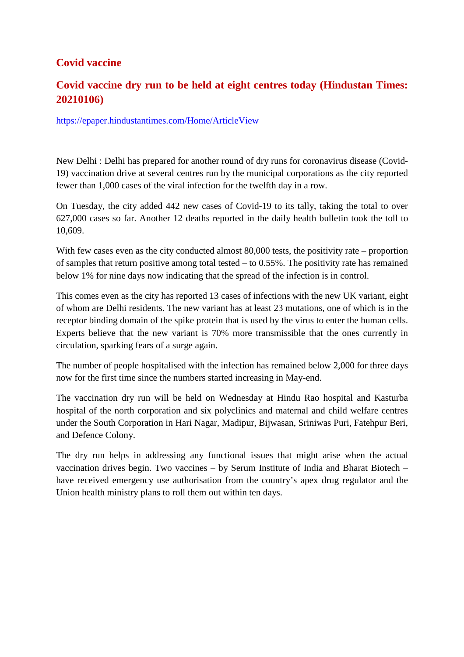# **Covid vaccine**

# **Covid vaccine dry run to be held at eight centres today (Hindustan Times: 20210106)**

https://epaper.hindustantimes.com/Home/ArticleView

New Delhi : Delhi has prepared for another round of dry runs for coronavirus disease (Covid-19) vaccination drive at several centres run by the municipal corporations as the city reported fewer than 1,000 cases of the viral infection for the twelfth day in a row.

On Tuesday, the city added 442 new cases of Covid-19 to its tally, taking the total to over 627,000 cases so far. Another 12 deaths reported in the daily health bulletin took the toll to 10,609.

With few cases even as the city conducted almost 80,000 tests, the positivity rate – proportion of samples that return positive among total tested – to 0.55%. The positivity rate has remained below 1% for nine days now indicating that the spread of the infection is in control.

This comes even as the city has reported 13 cases of infections with the new UK variant, eight of whom are Delhi residents. The new variant has at least 23 mutations, one of which is in the receptor binding domain of the spike protein that is used by the virus to enter the human cells. Experts believe that the new variant is 70% more transmissible that the ones currently in circulation, sparking fears of a surge again.

The number of people hospitalised with the infection has remained below 2,000 for three days now for the first time since the numbers started increasing in May-end.

The vaccination dry run will be held on Wednesday at Hindu Rao hospital and Kasturba hospital of the north corporation and six polyclinics and maternal and child welfare centres under the South Corporation in Hari Nagar, Madipur, Bijwasan, Sriniwas Puri, Fatehpur Beri, and Defence Colony.

The dry run helps in addressing any functional issues that might arise when the actual vaccination drives begin. Two vaccines – by Serum Institute of India and Bharat Biotech – have received emergency use authorisation from the country's apex drug regulator and the Union health ministry plans to roll them out within ten days.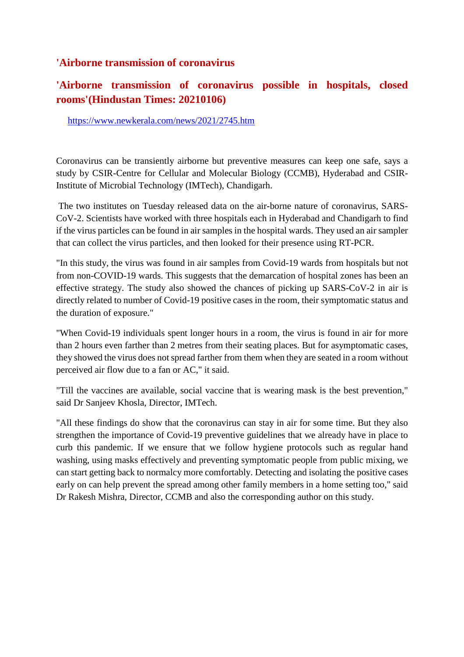#### **'Airborne transmission of coronavirus**

# **'Airborne transmission of coronavirus possible in hospitals, closed rooms'(Hindustan Times: 20210106)**

#### https://www.newkerala.com/news/2021/2745.htm

Coronavirus can be transiently airborne but preventive measures can keep one safe, says a study by CSIR-Centre for Cellular and Molecular Biology (CCMB), Hyderabad and CSIR-Institute of Microbial Technology (IMTech), Chandigarh.

The two institutes on Tuesday released data on the air-borne nature of coronavirus, SARS-CoV-2. Scientists have worked with three hospitals each in Hyderabad and Chandigarh to find if the virus particles can be found in air samples in the hospital wards. They used an air sampler that can collect the virus particles, and then looked for their presence using RT-PCR.

"In this study, the virus was found in air samples from Covid-19 wards from hospitals but not from non-COVID-19 wards. This suggests that the demarcation of hospital zones has been an effective strategy. The study also showed the chances of picking up SARS-CoV-2 in air is directly related to number of Covid-19 positive cases in the room, their symptomatic status and the duration of exposure."

"When Covid-19 individuals spent longer hours in a room, the virus is found in air for more than 2 hours even farther than 2 metres from their seating places. But for asymptomatic cases, they showed the virus does not spread farther from them when they are seated in a room without perceived air flow due to a fan or AC," it said.

"Till the vaccines are available, social vaccine that is wearing mask is the best prevention," said Dr Sanjeev Khosla, Director, IMTech.

"All these findings do show that the coronavirus can stay in air for some time. But they also strengthen the importance of Covid-19 preventive guidelines that we already have in place to curb this pandemic. If we ensure that we follow hygiene protocols such as regular hand washing, using masks effectively and preventing symptomatic people from public mixing, we can start getting back to normalcy more comfortably. Detecting and isolating the positive cases early on can help prevent the spread among other family members in a home setting too," said Dr Rakesh Mishra, Director, CCMB and also the corresponding author on this study.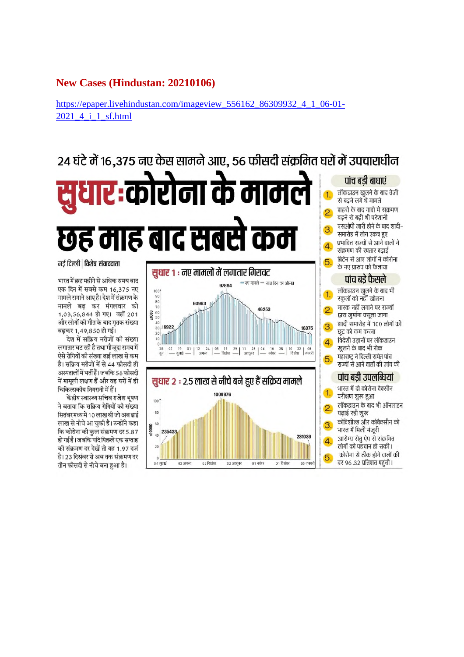#### **New Cases (Hindustan: 20210106)**

https://epaper.livehindustan.com/imageview\_556162\_86309932\_4\_1\_06-01-2021\_4\_i\_1\_sf.html

# 24 घंटे में 16,375 नए केस सामने आए, 56 फीसदी संक्रमित घरों में उपचाराधीन

<mark>र</mark>:कोरोना के मामले छह माह बाद सबसे कम

#### नई दिल्ली | विशेष संवाददाता

भारत में छह महीने से अधिक समय बाद एक दिन में सबसे कम 16.375 नए मामले समाने आए है। देश में संक्रमण के मामले बढ कर मंगलवार को 1.03.56.844 हो गए। वहीं 201 और लोगों की मौत के बाद मतक संख्या बढ़कर 1,49,850 हो गई।

.<br>देश में सकिय मरीजों की संख्या लगातार घट रही है तथा मौजदा समय में ऐसे रोगियों की संख्या ढाई लाख से कम है। सक्रिय मरीजों में से 44 फीसदी ही अस्पतालों में भर्ती हैं। जबकि 56 फीसदी में मामली लक्षण हैं और वह घरों में ही चिकित्सकीय निगरानी में हैं।

केंद्रीय स्वास्थ्य सचिव राजेश भूषण ने बताया कि सक्रिय रोगियों की संख्या सितंबर मध्य में 10 लाख थी जो अब ढाई लाख से नीचे आ चुकी है। उन्होंने कहा कि कोरोना की कुल संक्रमण दर 5.87 हो गई है। जबकि यदि पिछले एक सप्ताह की संक्रमण दर देखें तो यह 1.97 दर्ज है। 23 दिसंबर से अब तक संक्रमण दर तीन फीसदी से नीचे बना हुआ है।

 $\frac{1}{2}$ 

०४ जुलाई

03.39768

०२ सितंबर



०२ अक्तूबर

०१ नवंबर

०१ दिसंबर

०५ जनव

लॉकडाउन खुलने के बाद तेजी  $\mathbf{1}$ से बढने लगे थे मामले शहरों के बाद गांवों में संक्रमण  $\overline{2}$ . बढने से बढी थी परेशानी एसओपी जारी होने के बाद शादी– 3. समारोह में लोग एकत्र हुए प्रभावित राज्यों से आने वालों ने  $\overline{4}$ . संक्रमण की रफ्तार बढाई ब्रिटेन से आए लोगों ने कोरोना 5. के नए प्रारुप को फैलाया पांच बडे फैसले लॉकडाउन खुलने के बाद भी  $\mathbf{1}$ स्कलों को नहीं खोलना मास्क नहीं लगाने पर राज्यों द्वारा जुर्माना वसूला जाना शादी समारोह में 100 लोगों की 3. छट को कम करना विदेशी उड़ानों पर लॉकड़ाउन  $\overline{4}$ खलने के बाद भी रोक महाराष्ट ने दिल्ली समेत पांच 5. राज्यों से आने वालों की जांच की पांच बडी उपलब्धियां भारत में दो कोरोना वैक्सीन  $\mathbf{1}$ परीक्षण शुरू हुआ लॉकडाउन के बाद भी ऑनलाइन  $2.$ पढ़ाई रही शुरू कोविशील्ड और कोवैक्सीन को  $\overline{3}$ . भारत में मिली मंजूरी आरोग्य सेतु ऐप से संक्रमित  $\overline{4}$ लोगों की पहचान हो सकी। कोरोना से ठीक होने वालों की 5 दर 96.32 प्रतिशत पहुंची।

पांच बडी बाधाएं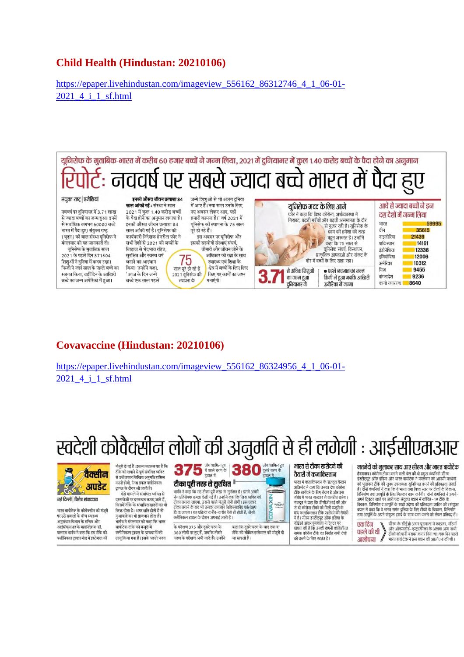#### **Child Health (Hindustan: 20210106)**

https://epaper.livehindustan.com/imageview\_556162\_86312746\_4\_1\_06-01- 2021 4 i 1 sf.html



#### **Covavaccine (Hindustan: 20210106)**

https://epaper.livehindustan.com/imageview\_556162\_86324956\_4\_1\_06-01- 2021\_4\_i\_1\_sf.html

# स्वदेशी कोवैक्सीन लोगों की अनुमति से ही लगेगी : आईसीएमआर



.<br>भारत बायोटेक के कोवैक्सीन की मंजूरी

पर उठे सवालों के बीच स्वास्थ्य अनुसंधान विभाग के सचिव और आईसीएमआर के महानिदेशक डॉ. -<br>बलराम भार्गव ने कहा कि इस टीके को वलीनिकल टावल मोड में इस्तेमाल की

.<br>मंजरी दी गई है। इसका मतलब यह है कि टीके को लगाने से पूर्व संबंधित व्यक्ति .<br>से उसी प्रकार लिखित अनुमति हासिल त उता प्रकार त्याखत अनुभात हाल<br>करनी होगी, जिस प्रकार क्लीनिकल 

दस्तावेजों पर दस्तखत कराए जाते हैं, जिसमें टीके के संभावित खतरों का भी जिक्र होता है। अगर क्षति होती है तो मआवजे का भी प्रावधान होता है। .<br>भार्गव ने मंगलवार को कहा कि भारत बायोटेक टीके को मंजरी में वागद्य द्वारा का नजूब<br>क्लीनिकल ट्रायल के प्रावधानों को लाग किया गया है। दमके पहले चरण

 $\overline{\mathbf{375}}$  and sufficies  $\overline{\mathbf{380}}$  and  $\overline{\mathbf{380}}$  and  $\overline{\mathbf{380}}$ टीका पूरी तरह से सुरक्षित ⊪

टीका लगाने के बाद भी उसका लगातार चिकित्सकीय फॉलोअप टाका समान के बाद ना उसका समाप्त सकता है।<br>किया जाएगा। यह प्रक्रिया करीब-करीब वैसे ही होती है, जैसी<br>क्लीनिकल टायल के दौरान अपनाई जाती हैं। ê

.<br>के परीक्षण 375 और दसरे चरण के 380 लोगों पर हुए हैं, जबकि तीसरे चरण के परीक्षण अभी जारी हैं। उन्होंने  $\lim_{n\to\infty}$ 

कहा कि दसरे चरण के बाद दवा या टीके को सीमित इस्तेमाल की मंजूरी दी जा सकती है।

#### भारत से टीका खरीदने की तैयारी में कजाकिस्तान

.<br>भारत में कजाकिस्तान के राजदूत येरलन अलिम्बेव ने कहा कि उनका देश कोरोना टीके खरीदने के लिए तैयार है और इस टाक खरादन के लिए तयार है और इस<br>संबंध में भारत सरकार से बातचीत करेगा<br>राजदत ने कहा कि डीसीजीआई की ओर राजकुर न कहा कि असलाजाब का जारे<br>से दो कोरोना टीकों को मिली मंजूरी के<br>बाद कजाकिस्तान टीके खरीदने की तैयारी<br>में है | सीरम इंस्टीट्यूट ऑफ इंडिया के न है। सारन परपुरात ने ट्विटर पर<br>सीईओ अदार पूनावाला ने ट्विटर पर<br>घोषणा की है कि उनकी कंपनी कोविशील्ड<br>नामक कोरोना टीके का निर्यात सभी देशों को करने के लिए स्वतंत्र है।

#### मतभेदों को भुलाकर साथ आए सीरम और भारत बायोटेक

.<br>हैदराबाद। कोरोना टीका बनाने वाली देश की दो प्रमुख कंपनियों सीरम रूपरायाचा यात्रांना ठावत यात्रा यात्रा यस का वा प्रमुख कवानचा सारंग<br>इंस्टीटयट ऑफ इंडिया और भारत बायोटेक ने मंगलवार को आपसी मतभेदों इस्टार्ट्यूट आफ डावर्स आर मारत बायाटक में मगलवार का आवशा मतम्बत<br>को भुलाकर टीके की सुगम उपलब्धता सुनिश्चित करने की प्रतिबद्धता जताई<br>है | दोनों कंपनियों ने कहा कि वे भारत तथा विश्व स्तर पर टीकों के विकास, विनिर्माण तथा आपनि के लिए मिलकर काम करेंगी। दोनों कंपनियों ने आन्ने ावानमाण वया आशुरत के तिल मत्तकर काम करना। 'चाना कंपानचा' ने अवन–<br>अपने ट्विटर खाते पर जारी एक संयुक्त बयान में कोविड–19 टीके के<br>विकास, विनिर्माण व आपूर्ति के साझे उद्देश्य की प्रतिबद्धता जाहिर की। संयुक्त नियान में कहा कि वे भारत समेत दुनिया के लिए टीकों के विकास, विनिर्माण<br>बयान में कहा कि वे भारत समेत दुनिया के लिए टीकों के विकास, विनिर्माण

सीरम के सीईओ अदार पूनावाला ने फाइजर, मोंडर्ना<br>और ऑक्सफोर्ड–एस्ट्राजेनका के अलावा अन्य सभी<br>टीकों को पानी बराबर करार दिया था । एक दिन पहले एक दिन पहले की थी भारत बायोटेक ने इस बयान की आलोचना की थी। आलोचना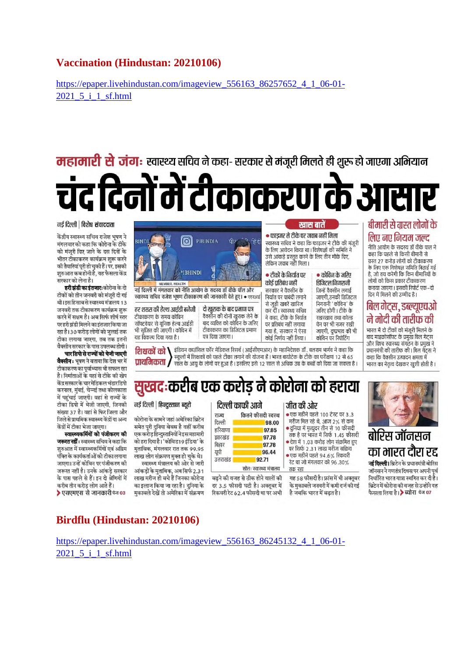#### **Vaccination (Hindustan: 20210106)**

https://epaper.livehindustan.com/imageview\_556163\_86257652\_4\_1\_06-01- 2021 5 i 1 sf.html

# **महामारी से जंग:** स्वास्थ्य सचिव ने कहा- सरकार से मंजूरी मिलते ही शुरू हो जाएगा अभियान

मि टाकाकरण क अ dal

#### नई दिल्ली | विशेष संवाददाता

केंद्रीय स्वास्थ्य सचिव राजेश भषण ने मंगलवार को कहा कि कोरोना के टीके को मंजूरी दिए जाने के दस दिनों के भीतर टीकाकरण कार्यक्रम शरू करने की तैयारियां परी हो चकी हैं। पर. इसकी शरुआत कब होनी है, वह फैसला केंद्र सरकार को लेना है।

हरी झंडी का इंतजार:कोरोना के दो टीकों को तीन जनवरी को मंजूरी दी गई थी। इस हिसाब से स्वास्थ्य मंत्रालय 13 जनवरी तक टीकाकरण कार्यक्रम शरू करने में सक्षम है। अब सिर्फ शीर्ष स्तर पर हरी झंडी मिलने का इंतजार किया जा रहा है। 30 करोड लोगों को जलाई तक टीका लगाया जाएगा, तब तक इतनी वैक्सीन सरकार के पास उपलब्ध होगी।

चार डिपो से राज्यों को भेजी जाएगी **वैक्सीन :** भूषण ने बताया कि देश भर में टीकाकरण का पूर्वाभ्यास भी सफल रहा है। निर्माताओं के यहां से टीके की खेप केंद्र सरकार के चार मेडिकल भंडारडिपो करनाल, मुंबई, चेन्नई तथा कोलकाता .<br>में पहंचाई जाएगी। वहां से राज्यों के टीका डिपो में भेजी जाएगी, जिनकी संख्या 37 है। वहां से फिर जिला और जिले से प्राथमिक स्वास्थ्य केंद्रों या अन्य केंदों में टीका भेजा जाएगा।

स्वास्थ्यकर्मियों को पंजीकरण की **जरूरत नहीं :** स्वास्थ्य सचिव ने कहा कि शुरुआत में स्वास्थ्यकर्मियों एवं अग्रिम पंक्ति के कार्यकर्ताओं को टीका लगाया जाएगा। उन्हें कोविन पर पंजीकरण की जरूरत नहीं है। उनके आंकडे सरकार के पास पहले से हैं। इन दो श्रेणियों में करीब तीन करोड़ लोग आते हैं।

▶ एसएमएस से जानकारी पंज 03



स्कूलों में शिक्षकों को पहले टीका लगाने की योजना है। भारत बायोटेक के टीके का परीक्षण 12 से 65 प्राथमिकता / स्कूला न खिनको का पहले टाका लगाने का बाजना है । नारत बाबाटक के टाक का परान्नेग 12 से 63<br>प्राथमिकता / साल के आयु के लोगों पर हुआ है । इसलिए इसे 12 साल से अधिक उम्र के बच्चों को दिया जा सकता है ।

# सखदःकरीब एक करोड ने कोरोना को हराया

#### नई दिल्ली | हिन्दुस्तान ब्यूरो

कोरोना के सामने जहां अमेरिका ब्रिटेन समेत पूरी दुनिया बेबस है वहीं करीब एक करोड हिन्दस्तानियों ने इस महामारी को हरा दिया है। 'कोविड19 इंडिया' के मुताबिक, मंगलवार रात तक 99.95 लाख लोग संक्रमण मुक्त हो चुके थे।

स्वास्थ्य मंत्रालय की ओर से जारी आंकड़ों के मुताबिक, अब सिर्फ 2.31 लाख मरीज ही बचे हैं जिनका कोरोना का इलाज किया जा रहा है। दुनिया के मुकाबले देखें तो अमेरिका में संक्रमण



बढने की वजह से ठीक होने वालों की दर 3.5 फीसदी घटी है। अक्तुबर में रिकवरी रेट 62.4 फीसदी था पर अभी

#### जीत की ओर

- एक महीने पहले 100 टेस्ट पर 3.3 मरीज मिल रहे थे. आज 2% से कम
- दनिया में मृत्युदर तीन से 10 फीसदी तक है पर भारत में सिर्फ 1.45 फीसदी
- देश में 1.03 करोड लोग संक्रमित हुए
- पर सिर्फ 2.31 लाख मरीज सक्रिय ● एक महीने पहले 94.6% रिकवरी रेट था जो मंगलवार को 96.30%

तक रहा यह 58 फीसदी है। फ्रांस में भी अक्तबर के मुकाबले जनवरी में कमी दर्ज की गई है जबकि भारत में बढ़त है।



भारत का नेतृत्व देखकर खुशी होती है।

# बोरिस जॉतसत का भारत टौरा रह

नई दिल्ली। ब्रिटेन के प्रधानमंत्री बोरिस जॉनसन ने गणतंत्र दिवस पर अपनी पूर्व निर्धारित भारत यात्रा स्थगित कर दी है। ब्रिटेन में कोरोना की वजह से उन्होंने यह फैसला लिया है। > ब्योरा पेज 07

# **Birdflu (Hindustan: 20210106)**

https://epaper.livehindustan.com/imageview\_556163\_86245132\_4\_1\_06-01-2021 5 i 1 sf.html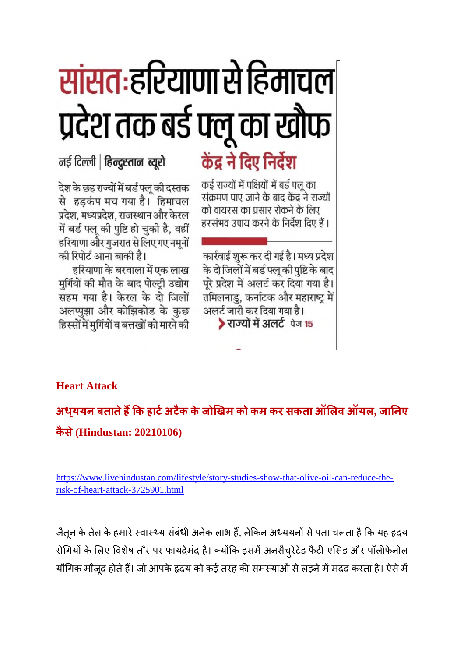# सांसतःहरियाणा से हिमाचल प्रदेश तक बर्ड फ्लू का खौफ

नई दिल्ली | हिन्दुस्तान ब्यूरो

देश के छह राज्यों में बर्ड फ्लू की दस्तक से हडकंप मच गया है। हिमाचल प्रदेश, मध्यप्रदेश, राजस्थान और केरल में बर्ड फ्लू की पुष्टि हो चुकी है, वहीं हरियाणा और गजरात से लिए गए नमनों की रिपोर्ट आना बाकी है।

हरियाणा के बरवाला में एक लाख मुर्गियों की मौत के बाद पोल्ट्री उद्योग सहम गया है। केरल के दो जिलों अलप्पुझा और कोझिकोड के कुछ हिस्सों में मुर्गियों व बत्तखों को मारने की

# केंद्र ने दिए निर्देश

कई राज्यों में पक्षियों में बर्ड फ्लू का संक्रमण पाए जाने के बाद केंद्र ने राज्यों को वायरस का प्रसार रोकने के लिए हरसंभव उपाय करने के निर्देश दिए हैं।

कार्रवाई शुरू कर दी गई है। मध्य प्रदेश के दो जिलों में बर्ड फ्लू की पुष्टि के बाद पूरे प्रदेश में अलर्ट कर दिया गया है। तमिलनाडु, कर्नाटक और महाराष्ट्र में अलर्ट जारी कर दिया गया है। ▶ राज्यों में अलर्ट पेज 15

# **Heart Attack**

**अधय् यन बतातेहक हाटअटैक केजोखम को कम कर सकता ऑलव ऑयल, जानए कैसे(Hindustan: 20210106)**

https://www.livehindustan.com/lifestyle/story-studies-show-that-olive-oil-can-reduce-therisk-of-heart-attack-3725901.html

जैतून के तेल के हमारे स्वास्थ्य संबंधी अनेक लाभ हैं, लेकिन अध्ययनों से पता चलता है कि यह हृदय रोगियों के लिए विशेष तौर पर फायदेमंद है। क्योंकि इसमें अनसैचुरेटेड फैटी एसिड और पॉलीफेनोल यौगिक मौजूद होते हैं। जो आपके हृदय को कई तरह की समस्याओं से लड़ने में मदद करता है। ऐसे में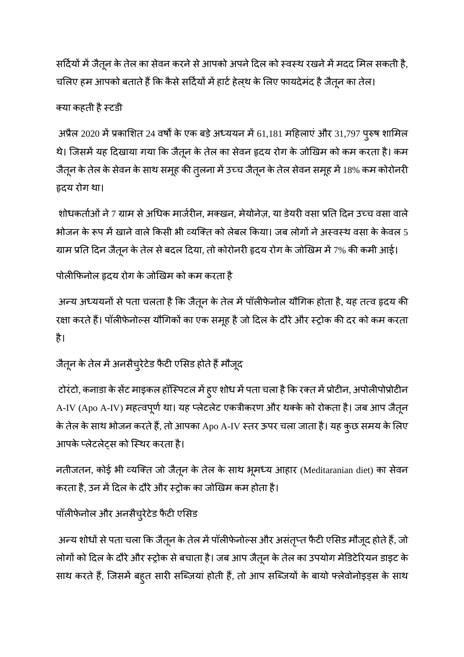सर्दियों में जैतून के तेल का सेवन करने से आपको अपने दिल को स्वस्थ रखने में मदद मिल सकती है, चलिए हम आपको बताते हैं कि कैसे सर्दियों में हार्ट हेल्थ के लिए फायदेमंद है जैतून का तेल।

# क्या कहती है स्टडी

अप्रैल 2020 में प्रकाशित 24 वर्षों के एक बड़े अध्ययन में 61,181 महिलाएं और 31,797 पुरुष शामिल थे। जिसमें यह दिखाया गया कि जैतून के तेल का सेवन हृदय रोग के जोखिम को कम करता है। कम जैतून के तेल के सेवन के साथ समूह की तुलना में उच्च जैतून के तेल सेवन समूह में 18% कम कोरोनरी दय रोग था।

शोधकर्ताओं ने 7 ग्राम से अधिक मार्जरीन, मक्खन, मेयोनेज़, या डेयरी वसा प्रति दिन उच्च वसा वाले भोजन के रूप में खाने वाले किसी भी व्यक्ति को लेबल किया। जब लोगों ने अस्वस्थ वसा के केवल 5 ग्राम प्रति दिन जैतून के तेल से बदल दिया, तो कोरोनरी हृदय रोग के जोखिम में 7% की कमी आई।

पोलफनोल दय रोग के जोखम को कम करता है

अन्य अध्ययनों से पता चलता है कि जैतून के तेल में पॉलीफेनोल यौगिक होता है, यह तत्व हृदय की रक्षा करते हैं। पॉलीफेनोल्स यौगिकों का एक समूह है जो दिल के दौरे और स्ट्रोक की दर को कम करता है।

# जैतून के तेल में अनसैच़्रेटेड फैटी एसिड होते हैं मौजूद

टोरंटो, कनाडा के सेंट माइकल हॉस्पिटल में हुए शोध में पता चला है कि रक्त में प्रोटीन, अपोलीपोप्रोटीन A-IV (Apo A-IV) महत्वपूर्ण था। यह प्लेटलेट एकत्रीकरण और थक्के को रोकता है। जब आप जैतून के तेल के साथ भोजन करते हैं, तो आपका Apo A-IV स्तर ऊपर चला जाता है। यह कुछ समय के लिए आपके प्लेटलेट्स को स्थिर करता है।

नतीजतन, कोई भी व्यक्ति जो जैतून के तेल के साथ भूमध्य आहार (Meditaranian diet) का सेवन करता है, उन में दिल के दौरे और स्ट्रोक का जोखिम कम होता है।

# पॉलीफेनोल और अनसैचुरेटेड फैटी एसिड

अन्य शोधों से पता चला कि जैतून के तेल में पॉलीफेनोल्स और असंतृप्त फैटी एसिड मौजूद होते हैं, जो लोगों को दिल के दौरे और स्ट्रोक से बचाता है। जब आप जैतून के तेल का उपयोग मेडिटेरियन डाइट के साथ करते हैं, जिसमें बहुत सारी सब्जियां होती हैं, तो आप सब्जियों के बायो फ्लेवोनोइड्स के साथ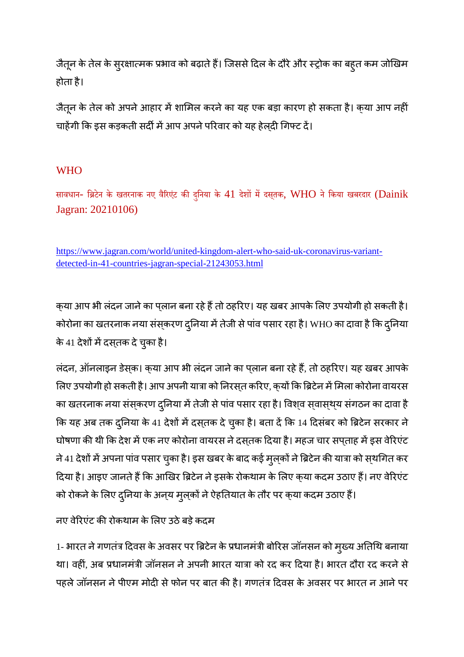जैतून के तेल के सुरक्षात्मक प्रभाव को बढ़ाते हैं। जिससे दिल के दौरे और स्ट्रोक का बहुत कम जोखिम होता है।

जैतून के तेल को अपने आहार में शामिल करने का यह एक बड़ा कारण हो सकता है। क्या आप नहीं चाहेंगी कि इस कड़कती सर्दी में आप अपने परिवार को यह हेलदी गिफ्ट दें।

# **WHO**

सावधान- ब्रिटेन के खतरनाक नए वैरिएंट की दुनिया के 41 देशों में दस्तक, WHO ने किया खबरदार (Dainik Jagran: 20210106)

https://www.jagran.com/world/united-kingdom-alert-who-said-uk-coronavirus-variantdetected-in-41-countries-jagran-special-21243053.html

क्या आप भी लंदन जाने का प्लान बना रहे हैं तो ठहरिए। यह खबर आपके लिए उपयोगी हो सकती है। कोरोना का खतरनाक नया संस्करण दुनिया में तेजी से पांव पसार रहा है। WHO का दावा है कि दुनिया के 41 देशों में दस्तक दे चुका है।

लंदन, ऑनलाइन डेसक। क्या आप भी लंदन जाने का पलान बना रहे हैं, तो ठहरिए। यह खबर आपके लिए उपयोगी हो सकती है। आप अपनी यात्रा को निरसत करिए, कुयों कि ब्रिटेन में मिला कोरोना वायरस का खतरनाक नया संस्करण दुनिया में तेजी से पांव पसार रहा है। विश्व स्वास्थ्य संगठन का दावा है कि यह अब तक दुनिया के 41 देशों में दस्तक दे चुका है। बता दें कि 14 दिसंबर को ब्रिटेन सरकार ने घोषणा की थी कि देश में एक नए कोरोना वायरस ने दसतक दिया है। महज चार सपताह में इस वेरिएंट ने 41 देशों में अपना पांव पसार चुका है। इस खबर के बाद कई मुलकों ने ब्रिटेन की यात्रा को स्थगित कर दिया है। आइए जानते हैं कि आखिर ब्रिटेन ने इसके रोकथाम के लिए क्या कदम उठाए हैं। नए वेरिएंट को रोकने के लिए दुनिया के अन्*य मुल्*कों ने ऐहतियात के तौर पर क्**या कदम उठाए हैं**।

नए वेरएंट करोकथाम के लए उठेबड़ेकदम

1- भारत ने गणतंत्र दिवस के अवसर पर ब्रिटेन के प्रधानमंत्री बोरिस जॉनसन को मुख्य अतिथि बनाया था। वहीं, अब प्रधानमंत्री जॉनसन ने अपनी भारत यात्रा को रद कर दिया है। भारत दौरा रद करने से पहले जॉनसन ने पीएम मोदी से फोन पर बात की है। गणतंत्र दिवस के अवसर पर भारत न आने पर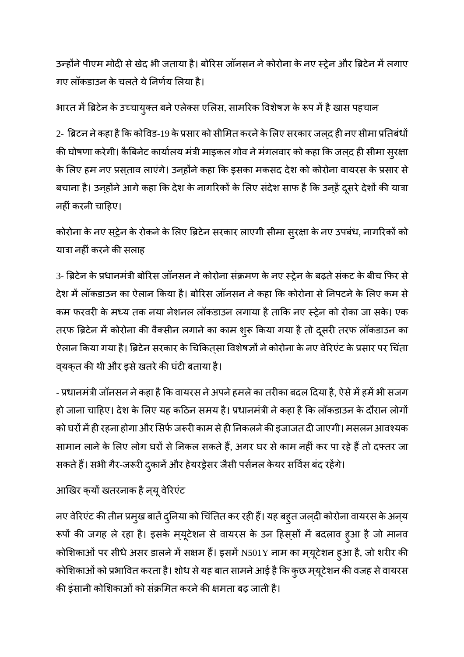उन्होंने पीएम मोदी से खेद भी जताया है। बोरिस जॉनसन ने कोरोना के नए स्ट्रेन और ब्रिटेन में लगाए गए लॉकडाउन के चलते ये निर्णय लिया है।

भारत में ब्रिटेन के उच्चायुक्त बने एलेक्स एलिस, सामरिक विशेषज्ञ के रूप में है खास पहचान

2- ब्रिटन ने कहा है कि कोविड-19 के प्रसार को सीमित करने के लिए सरकार जलद ही नए सीमा प्रतिबंधों की घोषणा करेगी। कैबिनेट कार्यालय मंत्री माइकल गोव ने मंगलवार को कहा कि जल्द ही सीमा सुरक्षा के लिए हम नए प्रस्ताव लाएंगे। उनहोंने कहा कि इसका मकसद देश को कोरोना वायरस के प्रसार से बचाना है। उनहोंने आगे कहा कि देश के नागरिकों के लिए संदेश साफ है कि उन्हें दूसरे देशों की यात्रा नहीं करनी चाहिए।

कोरोना के नए स्ट्रेन के रोकने के लिए ब्रिटेन सरकार लाएगी सीमा सुरक्षा के नए उपबंध, नागरिकों को यात्रा नहीं करने की सलाह

3- ब्रिटेन के प्रधानमंत्री बोरिस जॉनसन ने कोरोना संक्रमण के नए स्ट्रेन के बढ़ते संकट के बीच फिर से देश में लॉकडाउन का ऐलान किया है। बोरिस जॉनसन ने कहा कि कोरोना से निपटने के लिए कम से कम फरवरी के मध्य तक नया नेशनल लॉकडाउन लगाया है ताकि नए स्ट्रेन को रोका जा सके। एक तरफ ब्रिटेन में कोरोना की वैक्सीन लगाने का काम शुरू किया गया है तो दूसरी तरफ लॉकडाउन का ऐलान किया गया है। ब्रिटेन सरकार के चिकित्सा विशेषज्ञों ने कोरोना के नए वेरिएंट के प्रसार पर चिंता वयकत की थी और इसे खतरे की घंटी बताया है।

- प्रधानमंत्री जॉनसन ने कहा है कि वायरस ने अपने हमले का तरीका बदल दिया है, ऐसे में हमें भी सजग हो जाना चाहिए। देश के लिए यह कठिन समय है। प्रधानमंत्री ने कहा है कि लॉकडाउन के दौरान लोगों को घरों में ही रहना होगा और सिर्फ जरूरी काम से ही निकलने की इजाजत दी जाएगी। मसलन आवश्यक सामान लाने के लिए लोग घरों से निकल सकते हैं, अगर घर से काम नहीं कर पा रहे हैं तो दफ्तर जा सकते हैं। सभी गैर-जरूरी दुकानें और हेयरड्रेसर जैसी पर्सनल केयर सर्विस बंद रहेंगे।

आखिर क्यों खतरनाक है न्यू वेरिएंट

नए वेरिएंट की तीन प्रमुख बातें दुनिया को चिंतित कर रही हैं। यह बहुत जल्दी कोरोना वायरस के अन्*य* रूपों की जगह ले रहा है। इसके म्यूटेशन से वायरस के उन हिस्सों में बदलाव हुआ है जो मानव कोशिकाओं पर सीधे असर डालने में सक्षम हैं। इसमें N501Y नाम का म्यूटेशन हुआ है, जो शरीर की कोशिकाओं को प्रभावित करता है। शोध से यह बात सामने आई है कि कुछ म्यूटेशन की वजह से वायरस की इंसानी कोशिकाओं को संक्रमित करने की क्षमता बढ़ जाती है।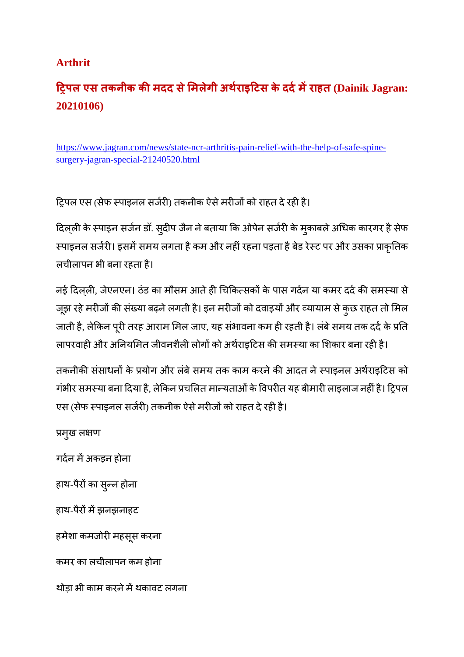# **Arthrit**

# **पल एस तकनीक कमदद सेमलेगी अथराइटस के ददमराहत (Dainik Jagran: 20210106)**

https://www.jagran.com/news/state-ncr-arthritis-pain-relief-with-the-help-of-safe-spinesurgery-jagran-special-21240520.html

ट्रिपल एस (सेफ स्पाइनल सर्जरी) तकनीक ऐसे मरीजों को राहत दे रही है।

दिल्ली के स्पाइन सर्जन डॉ. सुदीप जैन ने बताया कि ओपेन सर्जरी के मुकाबले अधिक कारगर है सेफ स्पाइनल सर्जरी। इसमें समय लगता है कम और नहीं रहना पड़ता है बेड रेस्ट पर और उसका प्राकृतिक लचीलापन भी बना रहता है।

नई दिल्ली, जेएनएन। ठंड का मौसम आते ही चिकित्सकों के पास गर्दन या कमर दर्द की समस्या से जूझ रहे मरीजों की संख्या बढ़ने लगती है। इन मरीजों को दवाइयों और व्यायाम से कुछ राहत तो मिल जाती है, लेकिन पूरी तरह आराम मिल जाए, यह संभावना कम ही रहती है। लंबे समय तक दर्द के प्रति लापरवाही और अनियमित जीवनशैली लोगों को अर्थराइटिस की समस्या का शिकार बना रही है।

तकनीकी संसाधनों के प्रयोग और लंबे समय तक काम करने की आदत ने स्पाइनल अर्थराइटिस को गंभीर समस्या बना दिया है, लेकिन प्रचलित मान्यताओं के विपरीत यह बीमारी लाइलाज नहीं है। ट्रिपल एस (सेफ स्पाइनल सर्जरी) तकनीक ऐसे मरीजों को राहत दे रही है।

प्रमुख लक्षण गर्दन में अकड़न होना हाथ-पैरों का सुन्न होना हाथ-पैरों में झनझनाहट हमेशा कमजोरी महसूस करना कमर का लचीलापन कम होना थोड़ा भी काम करने में थकावट लगना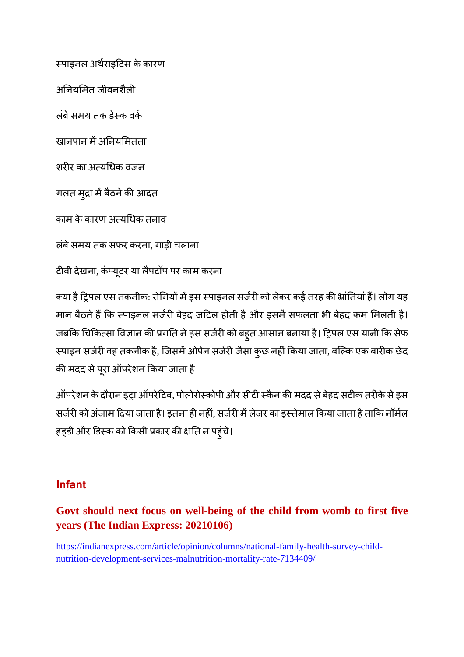पाइनल अथराइटस के कारण अनयमत जीवनशैल लंबे समय तक डेस्क वर्क खानपान में अनियमितता शरीर का अत्यधिक वजन गलत मुद्रा में बैठने की आदत काम के कारण अयधक तनाव लंबेसमय तक सफर करना, गाड़ी चलाना टीवी देखना, कंप्यूटर या लैपटॉप पर काम करना

क्या है ट्रिपल एस तकनीक: रोगियों में इस स्पाइनल सर्जरी को लेकर कई तरह की भ्रांतियां हैं। लोग यह मान बैठते हैं कि स्पाइनल सर्जरी बेहद जटिल होती है और इसमें सफलता भी बेहद कम मिलती है। जबकि चिकित्सा विज्ञान की प्रगति ने इस सर्जरी को बहुत आसान बनाया है। ट्रिपल एस यानी कि सेफ स्पाइन सर्जरी वह तकनीक है, जिसमें ओपेन सर्जरी जैसा कुछ नहीं किया जाता, बल्कि एक बारीक छेद की मदद से पूरा ऑपरेशन किया जाता है।

ऑपरेशन के दौरान इंट्रा ऑपरेटिव, पोलोरोस्कोपी और सीटी स्कैन की मदद से बेहद सटीक तरीके से इस सर्जरी को अंजाम दिया जाता है। इतना ही नहीं, सर्जरी में लेजर का इस्तेमाल किया जाता है ताकि नॉर्मल हड़डी और डिस्क को किसी प्रकार की क्षति न पहुंचे।

# **Infant**

# **Govt should next focus on well-being of the child from womb to first five years (The Indian Express: 20210106)**

https://indianexpress.com/article/opinion/columns/national-family-health-survey-childnutrition-development-services-malnutrition-mortality-rate-7134409/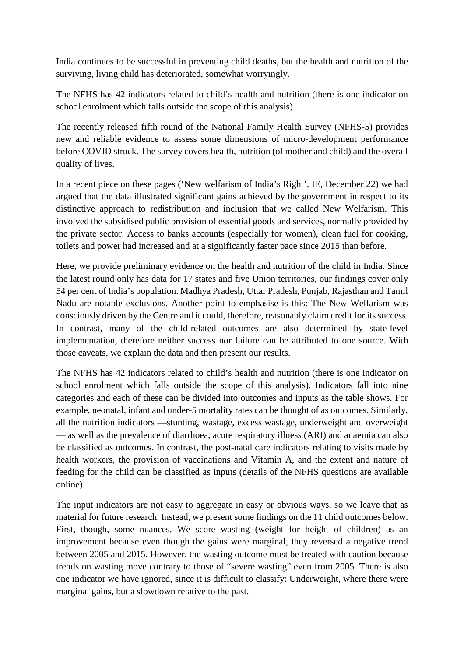India continues to be successful in preventing child deaths, but the health and nutrition of the surviving, living child has deteriorated, somewhat worryingly.

The NFHS has 42 indicators related to child's health and nutrition (there is one indicator on school enrolment which falls outside the scope of this analysis).

The recently released fifth round of the National Family Health Survey (NFHS-5) provides new and reliable evidence to assess some dimensions of micro-development performance before COVID struck. The survey covers health, nutrition (of mother and child) and the overall quality of lives.

In a recent piece on these pages ('New welfarism of India's Right', IE, December 22) we had argued that the data illustrated significant gains achieved by the government in respect to its distinctive approach to redistribution and inclusion that we called New Welfarism. This involved the subsidised public provision of essential goods and services, normally provided by the private sector. Access to banks accounts (especially for women), clean fuel for cooking, toilets and power had increased and at a significantly faster pace since 2015 than before.

Here, we provide preliminary evidence on the health and nutrition of the child in India. Since the latest round only has data for 17 states and five Union territories, our findings cover only 54 per cent of India's population. Madhya Pradesh, Uttar Pradesh, Punjab, Rajasthan and Tamil Nadu are notable exclusions. Another point to emphasise is this: The New Welfarism was consciously driven by the Centre and it could, therefore, reasonably claim credit for its success. In contrast, many of the child-related outcomes are also determined by state-level implementation, therefore neither success nor failure can be attributed to one source. With those caveats, we explain the data and then present our results.

The NFHS has 42 indicators related to child's health and nutrition (there is one indicator on school enrolment which falls outside the scope of this analysis). Indicators fall into nine categories and each of these can be divided into outcomes and inputs as the table shows. For example, neonatal, infant and under-5 mortality rates can be thought of as outcomes. Similarly, all the nutrition indicators —stunting, wastage, excess wastage, underweight and overweight — as well as the prevalence of diarrhoea, acute respiratory illness (ARI) and anaemia can also be classified as outcomes. In contrast, the post-natal care indicators relating to visits made by health workers, the provision of vaccinations and Vitamin A, and the extent and nature of feeding for the child can be classified as inputs (details of the NFHS questions are available online).

The input indicators are not easy to aggregate in easy or obvious ways, so we leave that as material for future research. Instead, we present some findings on the 11 child outcomes below. First, though, some nuances. We score wasting (weight for height of children) as an improvement because even though the gains were marginal, they reversed a negative trend between 2005 and 2015. However, the wasting outcome must be treated with caution because trends on wasting move contrary to those of "severe wasting" even from 2005. There is also one indicator we have ignored, since it is difficult to classify: Underweight, where there were marginal gains, but a slowdown relative to the past.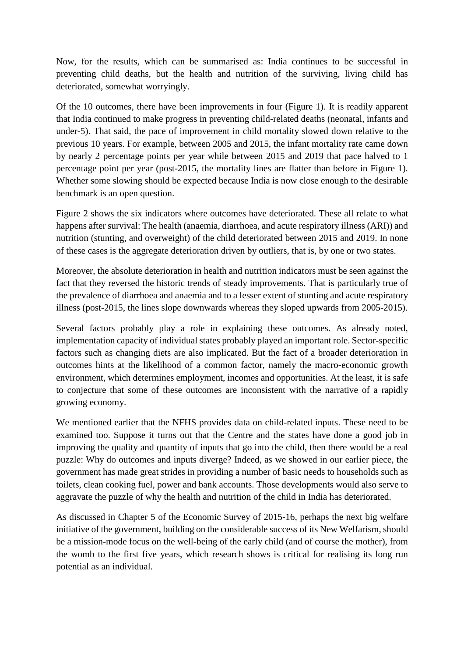Now, for the results, which can be summarised as: India continues to be successful in preventing child deaths, but the health and nutrition of the surviving, living child has deteriorated, somewhat worryingly.

Of the 10 outcomes, there have been improvements in four (Figure 1). It is readily apparent that India continued to make progress in preventing child-related deaths (neonatal, infants and under-5). That said, the pace of improvement in child mortality slowed down relative to the previous 10 years. For example, between 2005 and 2015, the infant mortality rate came down by nearly 2 percentage points per year while between 2015 and 2019 that pace halved to 1 percentage point per year (post-2015, the mortality lines are flatter than before in Figure 1). Whether some slowing should be expected because India is now close enough to the desirable benchmark is an open question.

Figure 2 shows the six indicators where outcomes have deteriorated. These all relate to what happens after survival: The health (anaemia, diarrhoea, and acute respiratory illness (ARI)) and nutrition (stunting, and overweight) of the child deteriorated between 2015 and 2019. In none of these cases is the aggregate deterioration driven by outliers, that is, by one or two states.

Moreover, the absolute deterioration in health and nutrition indicators must be seen against the fact that they reversed the historic trends of steady improvements. That is particularly true of the prevalence of diarrhoea and anaemia and to a lesser extent of stunting and acute respiratory illness (post-2015, the lines slope downwards whereas they sloped upwards from 2005-2015).

Several factors probably play a role in explaining these outcomes. As already noted, implementation capacity of individual states probably played an important role. Sector-specific factors such as changing diets are also implicated. But the fact of a broader deterioration in outcomes hints at the likelihood of a common factor, namely the macro-economic growth environment, which determines employment, incomes and opportunities. At the least, it is safe to conjecture that some of these outcomes are inconsistent with the narrative of a rapidly growing economy.

We mentioned earlier that the NFHS provides data on child-related inputs. These need to be examined too. Suppose it turns out that the Centre and the states have done a good job in improving the quality and quantity of inputs that go into the child, then there would be a real puzzle: Why do outcomes and inputs diverge? Indeed, as we showed in our earlier piece, the government has made great strides in providing a number of basic needs to households such as toilets, clean cooking fuel, power and bank accounts. Those developments would also serve to aggravate the puzzle of why the health and nutrition of the child in India has deteriorated.

As discussed in Chapter 5 of the Economic Survey of 2015-16, perhaps the next big welfare initiative of the government, building on the considerable success of its New Welfarism, should be a mission-mode focus on the well-being of the early child (and of course the mother), from the womb to the first five years, which research shows is critical for realising its long run potential as an individual.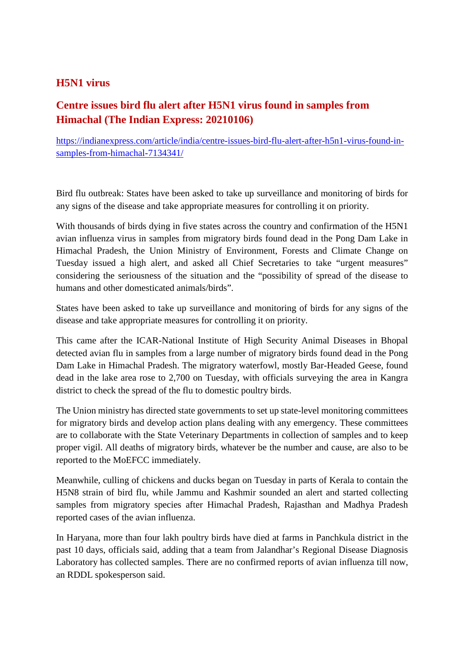## **H5N1 virus**

# **Centre issues bird flu alert after H5N1 virus found in samples from Himachal (The Indian Express: 20210106)**

https://indianexpress.com/article/india/centre-issues-bird-flu-alert-after-h5n1-virus-found-insamples-from-himachal-7134341/

Bird flu outbreak: States have been asked to take up surveillance and monitoring of birds for any signs of the disease and take appropriate measures for controlling it on priority.

With thousands of birds dying in five states across the country and confirmation of the H5N1 avian influenza virus in samples from migratory birds found dead in the Pong Dam Lake in Himachal Pradesh, the Union Ministry of Environment, Forests and Climate Change on Tuesday issued a high alert, and asked all Chief Secretaries to take "urgent measures" considering the seriousness of the situation and the "possibility of spread of the disease to humans and other domesticated animals/birds".

States have been asked to take up surveillance and monitoring of birds for any signs of the disease and take appropriate measures for controlling it on priority.

This came after the ICAR-National Institute of High Security Animal Diseases in Bhopal detected avian flu in samples from a large number of migratory birds found dead in the Pong Dam Lake in Himachal Pradesh. The migratory waterfowl, mostly Bar-Headed Geese, found dead in the lake area rose to 2,700 on Tuesday, with officials surveying the area in Kangra district to check the spread of the flu to domestic poultry birds.

The Union ministry has directed state governments to set up state-level monitoring committees for migratory birds and develop action plans dealing with any emergency. These committees are to collaborate with the State Veterinary Departments in collection of samples and to keep proper vigil. All deaths of migratory birds, whatever be the number and cause, are also to be reported to the MoEFCC immediately.

Meanwhile, culling of chickens and ducks began on Tuesday in parts of Kerala to contain the H5N8 strain of bird flu, while Jammu and Kashmir sounded an alert and started collecting samples from migratory species after Himachal Pradesh, Rajasthan and Madhya Pradesh reported cases of the avian influenza.

In Haryana, more than four lakh poultry birds have died at farms in Panchkula district in the past 10 days, officials said, adding that a team from Jalandhar's Regional Disease Diagnosis Laboratory has collected samples. There are no confirmed reports of avian influenza till now, an RDDL spokesperson said.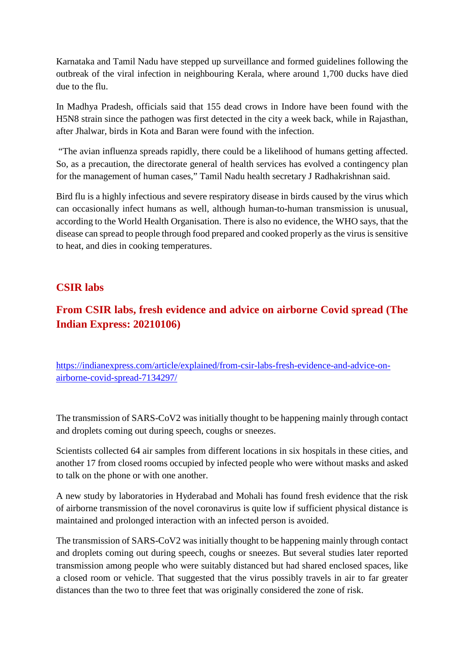Karnataka and Tamil Nadu have stepped up surveillance and formed guidelines following the outbreak of the viral infection in neighbouring Kerala, where around 1,700 ducks have died due to the flu.

In Madhya Pradesh, officials said that 155 dead crows in Indore have been found with the H5N8 strain since the pathogen was first detected in the city a week back, while in Rajasthan, after Jhalwar, birds in Kota and Baran were found with the infection.

"The avian influenza spreads rapidly, there could be a likelihood of humans getting affected. So, as a precaution, the directorate general of health services has evolved a contingency plan for the management of human cases," Tamil Nadu health secretary J Radhakrishnan said.

Bird flu is a highly infectious and severe respiratory disease in birds caused by the virus which can occasionally infect humans as well, although human-to-human transmission is unusual, according to the World Health Organisation. There is also no evidence, the WHO says, that the disease can spread to people through food prepared and cooked properly as the virus is sensitive to heat, and dies in cooking temperatures.

## **CSIR labs**

# **From CSIR labs, fresh evidence and advice on airborne Covid spread (The Indian Express: 20210106)**

https://indianexpress.com/article/explained/from-csir-labs-fresh-evidence-and-advice-onairborne-covid-spread-7134297/

The transmission of SARS-CoV2 was initially thought to be happening mainly through contact and droplets coming out during speech, coughs or sneezes.

Scientists collected 64 air samples from different locations in six hospitals in these cities, and another 17 from closed rooms occupied by infected people who were without masks and asked to talk on the phone or with one another.

A new study by laboratories in Hyderabad and Mohali has found fresh evidence that the risk of airborne transmission of the novel coronavirus is quite low if sufficient physical distance is maintained and prolonged interaction with an infected person is avoided.

The transmission of SARS-CoV2 was initially thought to be happening mainly through contact and droplets coming out during speech, coughs or sneezes. But several studies later reported transmission among people who were suitably distanced but had shared enclosed spaces, like a closed room or vehicle. That suggested that the virus possibly travels in air to far greater distances than the two to three feet that was originally considered the zone of risk.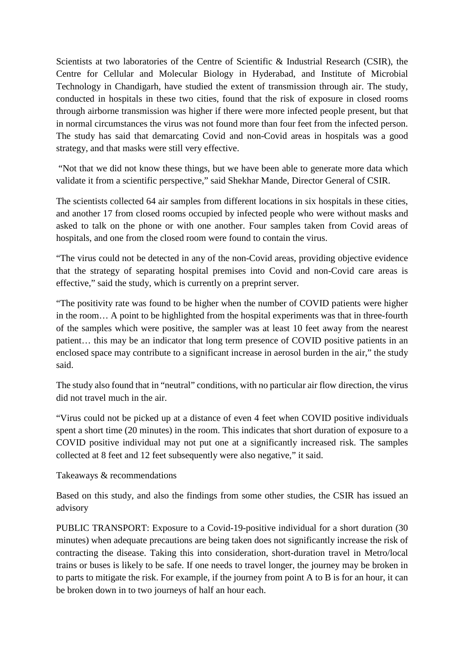Scientists at two laboratories of the Centre of Scientific & Industrial Research (CSIR), the Centre for Cellular and Molecular Biology in Hyderabad, and Institute of Microbial Technology in Chandigarh, have studied the extent of transmission through air. The study, conducted in hospitals in these two cities, found that the risk of exposure in closed rooms through airborne transmission was higher if there were more infected people present, but that in normal circumstances the virus was not found more than four feet from the infected person. The study has said that demarcating Covid and non-Covid areas in hospitals was a good strategy, and that masks were still very effective.

"Not that we did not know these things, but we have been able to generate more data which validate it from a scientific perspective," said Shekhar Mande, Director General of CSIR.

The scientists collected 64 air samples from different locations in six hospitals in these cities, and another 17 from closed rooms occupied by infected people who were without masks and asked to talk on the phone or with one another. Four samples taken from Covid areas of hospitals, and one from the closed room were found to contain the virus.

"The virus could not be detected in any of the non-Covid areas, providing objective evidence that the strategy of separating hospital premises into Covid and non-Covid care areas is effective," said the study, which is currently on a preprint server.

"The positivity rate was found to be higher when the number of COVID patients were higher in the room… A point to be highlighted from the hospital experiments was that in three-fourth of the samples which were positive, the sampler was at least 10 feet away from the nearest patient… this may be an indicator that long term presence of COVID positive patients in an enclosed space may contribute to a significant increase in aerosol burden in the air," the study said.

The study also found that in "neutral" conditions, with no particular air flow direction, the virus did not travel much in the air.

"Virus could not be picked up at a distance of even 4 feet when COVID positive individuals spent a short time (20 minutes) in the room. This indicates that short duration of exposure to a COVID positive individual may not put one at a significantly increased risk. The samples collected at 8 feet and 12 feet subsequently were also negative," it said.

#### Takeaways & recommendations

Based on this study, and also the findings from some other studies, the CSIR has issued an advisory

PUBLIC TRANSPORT: Exposure to a Covid-19-positive individual for a short duration (30 minutes) when adequate precautions are being taken does not significantly increase the risk of contracting the disease. Taking this into consideration, short-duration travel in Metro/local trains or buses is likely to be safe. If one needs to travel longer, the journey may be broken in to parts to mitigate the risk. For example, if the journey from point A to B is for an hour, it can be broken down in to two journeys of half an hour each.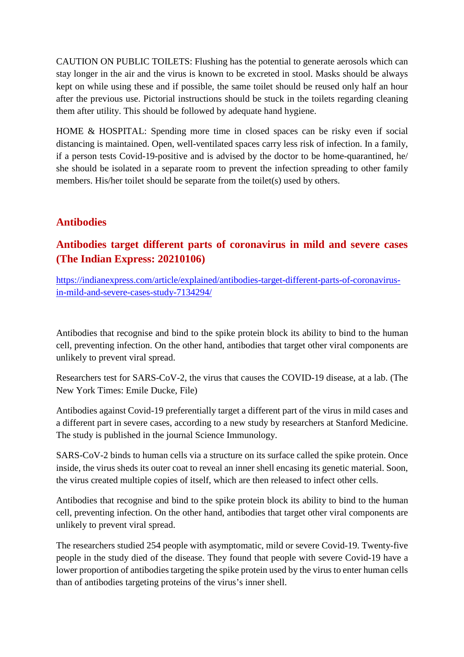CAUTION ON PUBLIC TOILETS: Flushing has the potential to generate aerosols which can stay longer in the air and the virus is known to be excreted in stool. Masks should be always kept on while using these and if possible, the same toilet should be reused only half an hour after the previous use. Pictorial instructions should be stuck in the toilets regarding cleaning them after utility. This should be followed by adequate hand hygiene.

HOME & HOSPITAL: Spending more time in closed spaces can be risky even if social distancing is maintained. Open, well-ventilated spaces carry less risk of infection. In a family, if a person tests Covid-19-positive and is advised by the doctor to be home-quarantined, he/ she should be isolated in a separate room to prevent the infection spreading to other family members. His/her toilet should be separate from the toilet(s) used by others.

# **Antibodies**

# **Antibodies target different parts of coronavirus in mild and severe cases (The Indian Express: 20210106)**

https://indianexpress.com/article/explained/antibodies-target-different-parts-of-coronavirusin-mild-and-severe-cases-study-7134294/

Antibodies that recognise and bind to the spike protein block its ability to bind to the human cell, preventing infection. On the other hand, antibodies that target other viral components are unlikely to prevent viral spread.

Researchers test for SARS-CoV-2, the virus that causes the COVID-19 disease, at a lab. (The New York Times: Emile Ducke, File)

Antibodies against Covid-19 preferentially target a different part of the virus in mild cases and a different part in severe cases, according to a new study by researchers at Stanford Medicine. The study is published in the journal Science Immunology.

SARS-CoV-2 binds to human cells via a structure on its surface called the spike protein. Once inside, the virus sheds its outer coat to reveal an inner shell encasing its genetic material. Soon, the virus created multiple copies of itself, which are then released to infect other cells.

Antibodies that recognise and bind to the spike protein block its ability to bind to the human cell, preventing infection. On the other hand, antibodies that target other viral components are unlikely to prevent viral spread.

The researchers studied 254 people with asymptomatic, mild or severe Covid-19. Twenty-five people in the study died of the disease. They found that people with severe Covid-19 have a lower proportion of antibodies targeting the spike protein used by the virus to enter human cells than of antibodies targeting proteins of the virus's inner shell.